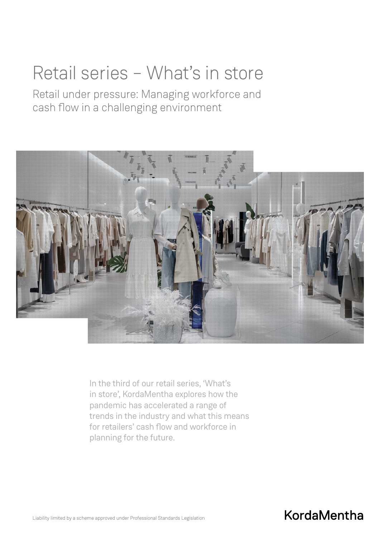# Retail series – What's in store

Retail under pressure: Managing workforce and cash flow in a challenging environment



In the third of our retail series, 'What's in store', KordaMentha explores how the pandemic has accelerated a range of trends in the industry and what this means for retailers' cash flow and workforce in planning for the future.

# **KordaMentha**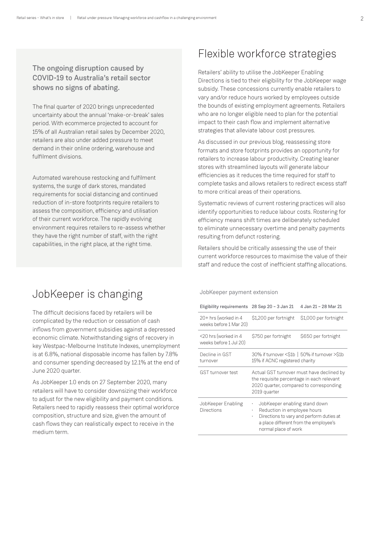### The ongoing disruption caused by COVID-19 to Australia's retail sector shows no signs of abating.

The final quarter of 2020 brings unprecedented uncertainty about the annual 'make-or-break' sales period. With ecommerce projected to account for 15% of all Australian retail sales by December 2020, retailers are also under added pressure to meet demand in their online ordering, warehouse and fulfilment divisions.

Automated warehouse restocking and fulfilment systems, the surge of dark stores, mandated requirements for social distancing and continued reduction of in-store footprints require retailers to assess the composition, efficiency and utilisation of their current workforce. The rapidly evolving environment requires retailers to re-assess whether they have the right number of staff, with the right capabilities, in the right place, at the right time.

## Flexible workforce strategies

Retailers' ability to utilise the JobKeeper Enabling Directions is tied to their eligibility for the JobKeeper wage subsidy. These concessions currently enable retailers to vary and/or reduce hours worked by employees outside the bounds of existing employment agreements. Retailers who are no longer eligible need to plan for the potential impact to their cash flow and implement alternative strategies that alleviate labour cost pressures.

As discussed in our previous blog, reassessing store formats and store footprints provides an opportunity for retailers to increase labour productivity. Creating leaner stores with streamlined layouts will generate labour efficiencies as it reduces the time required for staff to complete tasks and allows retailers to redirect excess staff to more critical areas of their operations.

Systematic reviews of current rostering practices will also identify opportunities to reduce labour costs. Rostering for efficiency means shift times are deliberately scheduled to eliminate unnecessary overtime and penalty payments resulting from defunct rostering.

Retailers should be critically assessing the use of their current workforce resources to maximise the value of their staff and reduce the cost of inefficient staffing allocations.

### JobKeeper is changing

The difficult decisions faced by retailers will be complicated by the reduction or cessation of cash inflows from government subsidies against a depressed economic climate. Notwithstanding signs of recovery in key Westpac-Melbourne Institute Indexes, unemployment is at 6.8%, national disposable income has fallen by 7.8% and consumer spending decreased by 12.1% at the end of June 2020 quarter.

As JobKeeper 1.0 ends on 27 September 2020, many retailers will have to consider downsizing their workforce to adjust for the new eligibility and payment conditions. Retailers need to rapidly reassess their optimal workforce composition, structure and size, given the amount of cash flows they can realistically expect to receive in the medium term.

JobKeeper payment extension

| Eligibility requirements 28 Sep 20 - 3 Jan 21  |                                                                                                                                                   | 4 Jan 21 - 28 Mar 21  |
|------------------------------------------------|---------------------------------------------------------------------------------------------------------------------------------------------------|-----------------------|
| 20+ hrs (worked in 4<br>weeks before 1 Mar 20) | \$1,200 per fortnight                                                                                                                             | \$1,000 per fortnight |
| <20 hrs (worked in 4<br>weeks before 1 Jul 20) | \$750 per fortnight                                                                                                                               | \$650 per fortnight   |
| Decline in GST<br>turnover                     | 30% if turnover <\$1b   50% if turnover >\$1b<br>15% if ACNC registered charity                                                                   |                       |
| <b>GST</b> turnover test                       | Actual GST turnover must have declined by<br>the requisite percentage in each relevant<br>2020 quarter, compared to corresponding<br>2019 quarter |                       |
|                                                |                                                                                                                                                   |                       |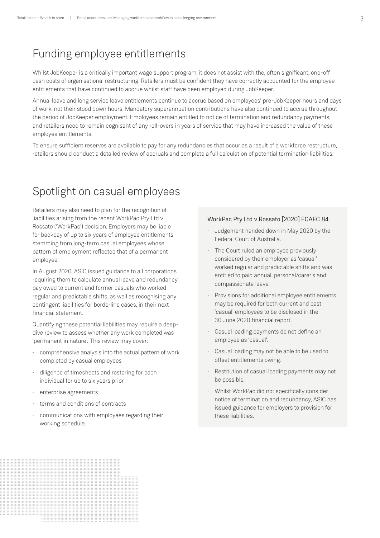### Funding employee entitlements

Whilst JobKeeper is a critically important wage support program, it does not assist with the, often significant, one-off cash costs of organisational restructuring. Retailers must be confident they have correctly accounted for the employee entitlements that have continued to accrue whilst staff have been employed during JobKeeper.

Annual leave and long service leave entitlements continue to accrue based on employees' pre-JobKeeper hours and days of work, not their stood down hours. Mandatory superannuation contributions have also continued to accrue throughout the period of JobKeeper employment. Employees remain entitled to notice of termination and redundancy payments, and retailers need to remain cognisant of any roll-overs in years of service that may have increased the value of these employee entitlements.

To ensure sufficient reserves are available to pay for any redundancies that occur as a result of a workforce restructure, retailers should conduct a detailed review of accruals and complete a full calculation of potential termination liabilities.

### Spotlight on casual employees

Retailers may also need to plan for the recognition of liabilities arising from the recent WorkPac Pty Ltd v Rossato ('WorkPac') decision. Employers may be liable for backpay of up to six years of employee entitlements stemming from long-term casual employees whose pattern of employment reflected that of a permanent employee.

In August 2020, ASIC issued guidance to all corporations requiring them to calculate annual leave and redundancy pay owed to current and former casuals who worked regular and predictable shifts, as well as recognising any contingent liabilities for borderline cases, in their next financial statement.

Quantifying these potential liabilities may require a deepdive review to assess whether any work completed was 'permanent in nature'. This review may cover:

- comprehensive analysis into the actual pattern of work completed by casual employees
- diligence of timesheets and rostering for each individual for up to six years prior
- enterprise agreements
- terms and conditions of contracts
- communications with employees regarding their working schedule.

#### WorkPac Pty Ltd v Rossato [2020] FCAFC 84

- Judgement handed down in May 2020 by the Federal Court of Australia.
- The Court ruled an employee previously considered by their employer as 'casual' worked regular and predictable shifts and was entitled to paid annual, personal/carer's and compassionate leave.
- Provisions for additional employee entitlements may be required for both current and past 'casual' employees to be disclosed in the 30 June 2020 financial report.
- Casual loading payments do not define an employee as 'casual'.
- Casual loading may not be able to be used to offset entitlements owing.
- Restitution of casual loading payments may not be possible.
- Whilst WorkPac did not specifically consider notice of termination and redundancy, ASIC has issued guidance for employers to provision for these liabilities.

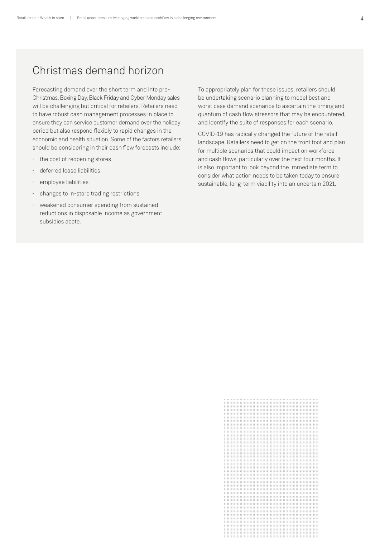### Christmas demand horizon

Forecasting demand over the short term and into pre-Christmas, Boxing Day, Black Friday and Cyber Monday sales will be challenging but critical for retailers. Retailers need to have robust cash management processes in place to ensure they can service customer demand over the holiday period but also respond flexibly to rapid changes in the economic and health situation. Some of the factors retailers should be considering in their cash flow forecasts include:

- the cost of reopening stores
- deferred lease liabilities
- employee liabilities
- changes to in-store trading restrictions
- weakened consumer spending from sustained reductions in disposable income as government subsidies abate.

To appropriately plan for these issues, retailers should be undertaking scenario planning to model best and worst case demand scenarios to ascertain the timing and quantum of cash flow stressors that may be encountered, and identify the suite of responses for each scenario.

COVID-19 has radically changed the future of the retail landscape. Retailers need to get on the front foot and plan for multiple scenarios that could impact on workforce and cash flows, particularly over the next four months. It is also important to look beyond the immediate term to consider what action needs to be taken today to ensure sustainable, long-term viability into an uncertain 2021.